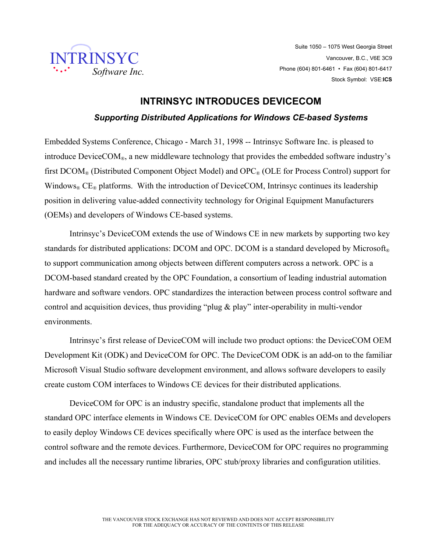

Suite 1050 – 1075 West Georgia Street Vancouver, B.C., V6E 3C9 Phone (604) 801-6461 • Fax (604) 801-6417 Stock Symbol: VSE:**ICS**

## **INTRINSYC INTRODUCES DEVICECOM**  *Supporting Distributed Applications for Windows CE-based Systems*

Embedded Systems Conference, Chicago - March 31, 1998 -- Intrinsyc Software Inc. is pleased to introduce  $\text{DeviceCOM}_{\odot}$ , a new middleware technology that provides the embedded software industry's first  $DCOM_{\otimes}$  (Distributed Component Object Model) and  $OPC_{\otimes}$  (OLE for Process Control) support for Windows<sup>®</sup> CE<sup>®</sup> platforms. With the introduction of DeviceCOM, Intrinsyc continues its leadership position in delivering value-added connectivity technology for Original Equipment Manufacturers (OEMs) and developers of Windows CE-based systems.

Intrinsyc's DeviceCOM extends the use of Windows CE in new markets by supporting two key standards for distributed applications: DCOM and OPC. DCOM is a standard developed by Microsoft<sup>®</sup> to support communication among objects between different computers across a network. OPC is a DCOM-based standard created by the OPC Foundation, a consortium of leading industrial automation hardware and software vendors. OPC standardizes the interaction between process control software and control and acquisition devices, thus providing "plug & play" inter-operability in multi-vendor environments.

Intrinsyc's first release of DeviceCOM will include two product options: the DeviceCOM OEM Development Kit (ODK) and DeviceCOM for OPC. The DeviceCOM ODK is an add-on to the familiar Microsoft Visual Studio software development environment, and allows software developers to easily create custom COM interfaces to Windows CE devices for their distributed applications.

DeviceCOM for OPC is an industry specific, standalone product that implements all the standard OPC interface elements in Windows CE. DeviceCOM for OPC enables OEMs and developers to easily deploy Windows CE devices specifically where OPC is used as the interface between the control software and the remote devices. Furthermore, DeviceCOM for OPC requires no programming and includes all the necessary runtime libraries, OPC stub/proxy libraries and configuration utilities.